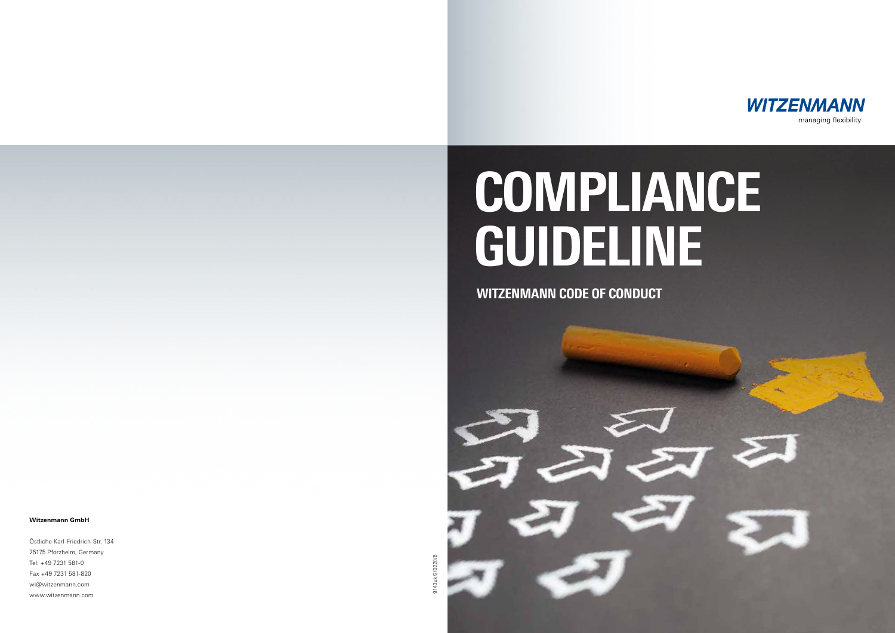

Östliche Karl-Friedrich-Str. 134 75175 Pforzheim, Germany Tel: +49 7231 581-0 Fax +49 7231 581-820 wi@witzenmann.com www.witzenmann.com



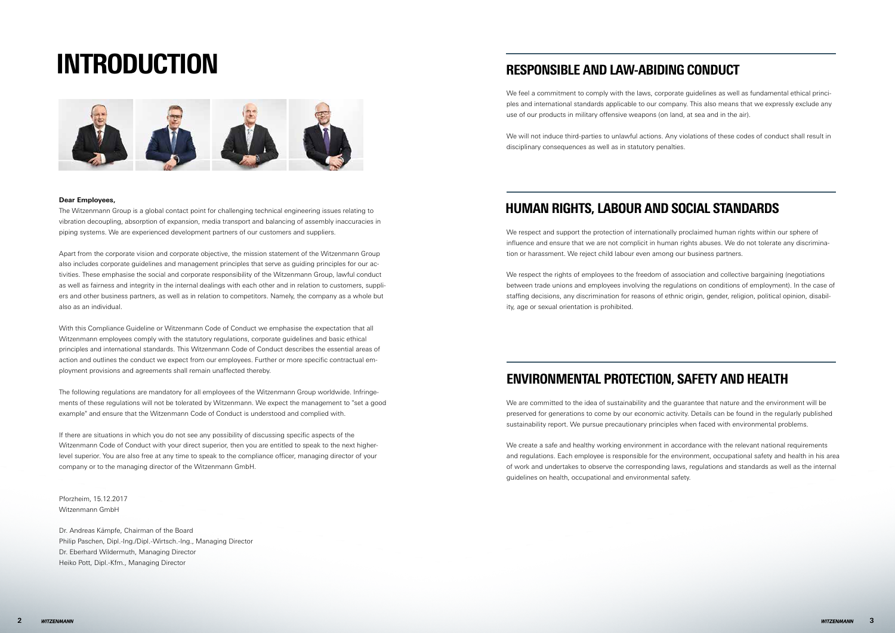#### **Dear Employees,**

The Witzenmann Group is a global contact point for challenging technical engineering issues relating to vibration decoupling, absorption of expansion, media transport and balancing of assembly inaccuracies in piping systems. We are experienced development partners of our customers and suppliers.

Apart from the corporate vision and corporate objective, the mission statement of the Witzenmann Group also includes corporate guidelines and management principles that serve as guiding principles for our activities. These emphasise the social and corporate responsibility of the Witzenmann Group, lawful conduct as well as fairness and integrity in the internal dealings with each other and in relation to customers, suppliers and other business partners, as well as in relation to competitors. Namely, the company as a whole but also as an individual.

With this Compliance Guideline or Witzenmann Code of Conduct we emphasise the expectation that all Witzenmann employees comply with the statutory regulations, corporate guidelines and basic ethical principles and international standards. This Witzenmann Code of Conduct describes the essential areas of action and outlines the conduct we expect from our employees. Further or more specific contractual employment provisions and agreements shall remain unaffected thereby.

The following regulations are mandatory for all employees of the Witzenmann Group worldwide. Infringements of these regulations will not be tolerated by Witzenmann. We expect the management to "set a good example" and ensure that the Witzenmann Code of Conduct is understood and complied with.

We respect the rights of employees to the freedom of association and collective bargaining (negotiations between trade unions and employees involving the regulations on conditions of employment). In the case of staffing decisions, any discrimination for reasons of ethnic origin, gender, religion, political opinion, disability, age or sexual orientation is prohibited.

If there are situations in which you do not see any possibility of discussing specific aspects of the Witzenmann Code of Conduct with your direct superior, then you are entitled to speak to the next higherlevel superior. You are also free at any time to speak to the compliance officer, managing director of your company or to the managing director of the Witzenmann GmbH.

Pforzheim, 15.12.2017 Witzenmann GmbH

Dr. Andreas Kämpfe, Chairman of the Board Philip Paschen, Dipl.-Ing./Dipl.-Wirtsch.-Ing., Managing Director Dr. Eberhard Wildermuth, Managing Director Heiko Pott, Dipl.-Kfm., Managing Director

# INTRODUCTION RESPONSIBLE AND LAW-ABIDING CONDUCT



### ENVIRONMENTAL PROTECTION, SAFETY AND HEALTH

We feel a commitment to comply with the laws, corporate guidelines as well as fundamental ethical principles and international standards applicable to our company. This also means that we expressly exclude any use of our products in military offensive weapons (on land, at sea and in the air).

We will not induce third-parties to unlawful actions. Any violations of these codes of conduct shall result in disciplinary consequences as well as in statutory penalties.

### HUMAN RIGHTS, LABOUR AND SOCIAL STANDARDS

We respect and support the protection of internationally proclaimed human rights within our sphere of influence and ensure that we are not complicit in human rights abuses. We do not tolerate any discrimination or harassment. We reject child labour even among our business partners.

We are committed to the idea of sustainability and the guarantee that nature and the environment will be preserved for generations to come by our economic activity. Details can be found in the regularly published sustainability report. We pursue precautionary principles when faced with environmental problems.

We create a safe and healthy working environment in accordance with the relevant national requirements and regulations. Each employee is responsible for the environment, occupational safety and health in his area of work and undertakes to observe the corresponding laws, regulations and standards as well as the internal guidelines on health, occupational and environmental safety.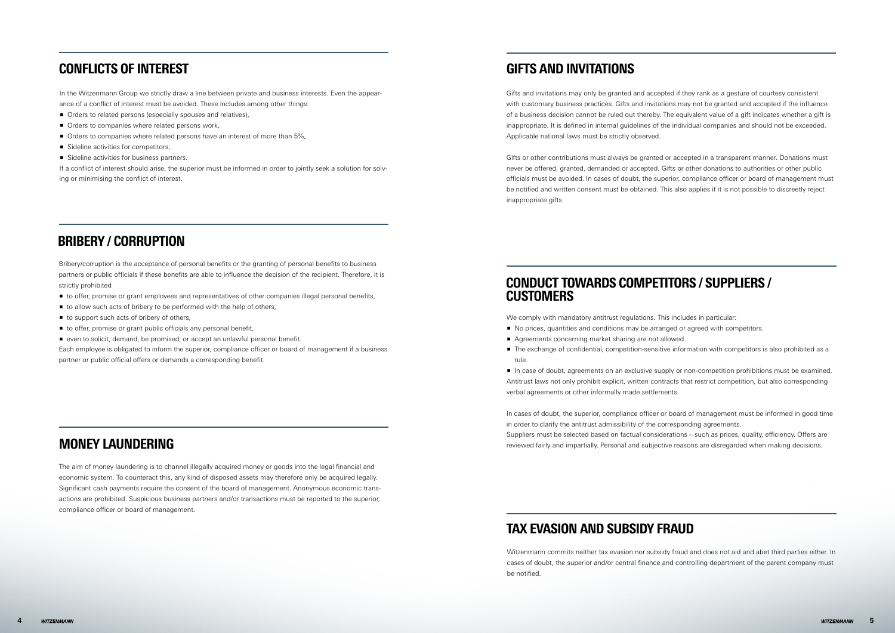#### BRIBERY / CORRUPTION

- p to offer, promise or grant employees and representatives of other companies illegal personal benefits,
- to allow such acts of bribery to be performed with the help of others,
- $\blacksquare$  to support such acts of bribery of others,
- $\blacksquare$  to offer, promise or grant public officials any personal benefit,
- even to solicit, demand, be promised, or accept an unlawful personal benefit.

Bribery/corruption is the acceptance of personal benefits or the granting of personal benefits to business partners or public officials if these benefits are able to influence the decision of the recipient. Therefore, it is strictly prohibited

Each employee is obligated to inform the superior, compliance officer or board of management if a business partner or public official offers or demands a corresponding benefit.

#### MONEY LAUNDERING

The aim of money laundering is to channel illegally acquired money or goods into the legal financial and economic system. To counteract this, any kind of disposed assets may therefore only be acquired legally. Significant cash payments require the consent of the board of management. Anonymous economic transactions are prohibited. Suspicious business partners and/or transactions must be reported to the superior, compliance officer or board of management.

#### CONDUCT TOWARDS COMPETITORS / SUPPLIERS / **CUSTOMERS**

#### GIFTS AND INVITATIONS

- **•** No prices, quantities and conditions may be arranged or agreed with competitors.
- Agreements concerning market sharing are not allowed.
- **The exchange of confidential, competition-sensitive information with competitors is also prohibited as a** rule.

**n** In case of doubt, agreements on an exclusive supply or non-competition prohibitions must be examined. Antitrust laws not only prohibit explicit, written contracts that restrict competition, but also corresponding verbal agreements or other informally made settlements.

Gifts and invitations may only be granted and accepted if they rank as a gesture of courtesy consistent with customary business practices. Gifts and invitations may not be granted and accepted if the influence of a business decision cannot be ruled out thereby. The equivalent value of a gift indicates whether a gift is inappropriate. It is defined in internal guidelines of the individual companies and should not be exceeded. Applicable national laws must be strictly observed.

Witzenmann commits neither tax evasion nor subsidy fraud and does not aid and abet third parties either. In cases of doubt, the superior and/or central finance and controlling department of the parent company must be notified.

Gifts or other contributions must always be granted or accepted in a transparent manner. Donations must never be offered, granted, demanded or accepted. Gifts or other donations to authorities or other public officials must be avoided. In cases of doubt, the superior, compliance officer or board of management must be notified and written consent must be obtained. This also applies if it is not possible to discreetly reject inappropriate gifts.

#### TAX EVASION AND SUBSIDY FRAUD

We comply with mandatory antitrust regulations. This includes in particular:

In cases of doubt, the superior, compliance officer or board of management must be informed in good time in order to clarify the antitrust admissibility of the corresponding agreements. Suppliers must be selected based on factual considerations – such as prices, quality, efficiency. Offers are reviewed fairly and impartially. Personal and subjective reasons are disregarded when making decisions.

### CONFLICTS OF INTEREST

In the Witzenmann Group we strictly draw a line between private and business interests. Even the appearance of a conflict of interest must be avoided. These includes among other things:

- **P** Orders to related persons (especially spouses and relatives),
- Orders to companies where related persons work,
- **•** Orders to companies where related persons have an interest of more than 5%,
- $\blacksquare$  Sideline activities for competitors,
- Sideline activities for business partners.

If a conflict of interest should arise, the superior must be informed in order to jointly seek a solution for solving or minimising the conflict of interest.